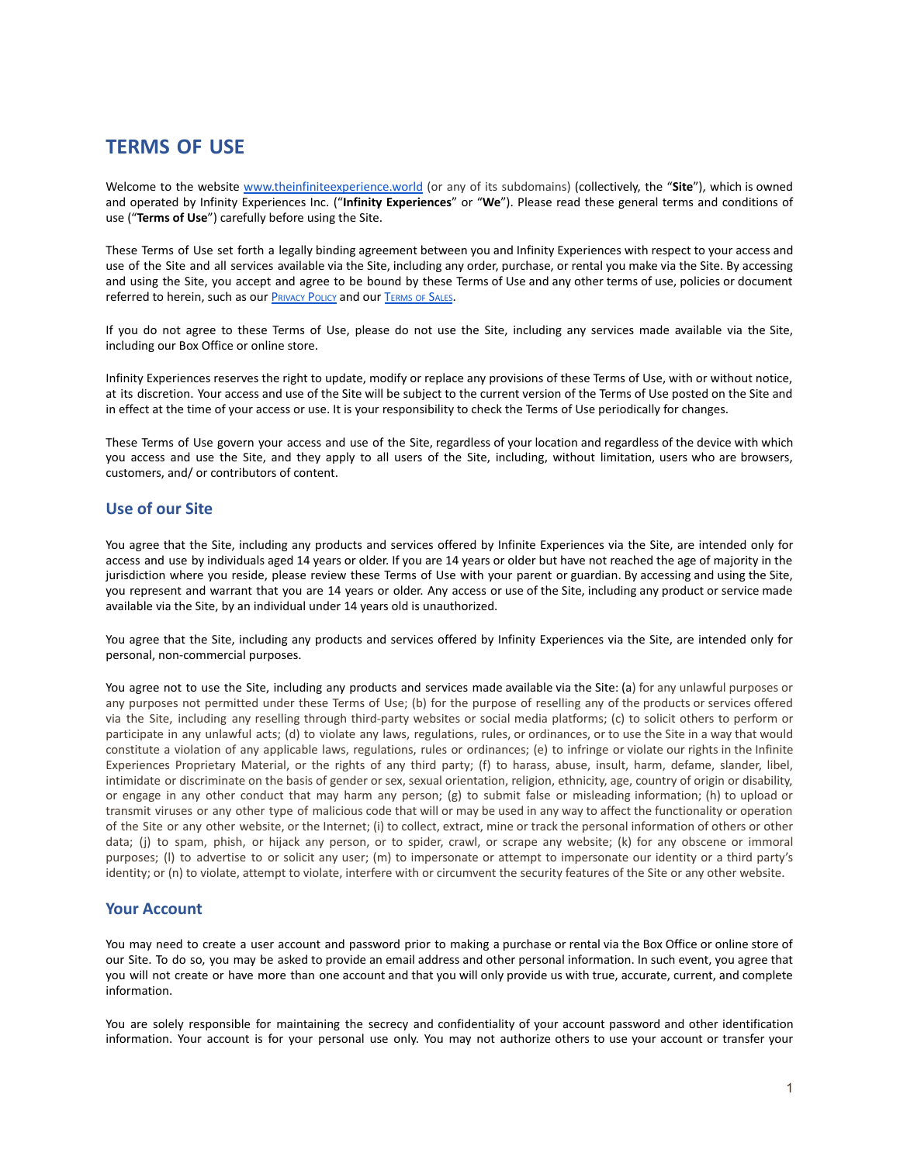# **TERMS OF USE**

Welcome to the website [www.theinfiniteexperience.world](http://www.theinfiniteexperience.world) (or any of its subdomains) (collectively, the "**Site**"), which is owned and operated by Infinity Experiences Inc. ("**Infinity Experiences**" or "**We**"). Please read these general terms and conditions of use ("**Terms of Use**") carefully before using the Site.

These Terms of Use set forth a legally binding agreement between you and Infinity Experiences with respect to your access and use of the Site and all services available via the Site, including any order, purchase, or rental you make via the Site. By accessing and using the Site, you accept and agree to be bound by these Terms of Use and any other terms of use, policies or document referred to herein, such as our **P[RIVACY](https://phi.ca/uploads/STUDIO/THE-INFINITE-Tour/Privacy-Policy-EN.pdf) POLICY** and our **T[ERMS](https://phi.ca/uploads/STUDIO/THE-INFINITE-Tour/Terms-of-Sale-Health-and-Safety.pdf) OF SALES**.

If you do not agree to these Terms of Use, please do not use the Site, including any services made available via the Site, including our Box Office or online store.

Infinity Experiences reserves the right to update, modify or replace any provisions of these Terms of Use, with or without notice, at its discretion. Your access and use of the Site will be subject to the current version of the Terms of Use posted on the Site and in effect at the time of your access or use. It is your responsibility to check the Terms of Use periodically for changes.

These Terms of Use govern your access and use of the Site, regardless of your location and regardless of the device with which you access and use the Site, and they apply to all users of the Site, including, without limitation, users who are browsers, customers, and/ or contributors of content.

# **Use of our Site**

You agree that the Site, including any products and services offered by Infinite Experiences via the Site, are intended only for access and use by individuals aged 14 years or older. If you are 14 years or older but have not reached the age of majority in the jurisdiction where you reside, please review these Terms of Use with your parent or guardian. By accessing and using the Site, you represent and warrant that you are 14 years or older. Any access or use of the Site, including any product or service made available via the Site, by an individual under 14 years old is unauthorized.

You agree that the Site, including any products and services offered by Infinity Experiences via the Site, are intended only for personal, non-commercial purposes.

You agree not to use the Site, including any products and services made available via the Site: (a) for any unlawful purposes or any purposes not permitted under these Terms of Use; (b) for the purpose of reselling any of the products or services offered via the Site, including any reselling through third-party websites or social media platforms; (c) to solicit others to perform or participate in any unlawful acts; (d) to violate any laws, regulations, rules, or ordinances, or to use the Site in a way that would constitute a violation of any applicable laws, regulations, rules or ordinances; (e) to infringe or violate our rights in the Infinite Experiences Proprietary Material, or the rights of any third party; (f) to harass, abuse, insult, harm, defame, slander, libel, intimidate or discriminate on the basis of gender or sex, sexual orientation, religion, ethnicity, age, country of origin or disability, or engage in any other conduct that may harm any person; (g) to submit false or misleading information; (h) to upload or transmit viruses or any other type of malicious code that will or may be used in any way to affect the functionality or operation of the Site or any other website, or the Internet; (i) to collect, extract, mine or track the personal information of others or other data; (j) to spam, phish, or hijack any person, or to spider, crawl, or scrape any website; (k) for any obscene or immoral purposes; (l) to advertise to or solicit any user; (m) to impersonate or attempt to impersonate our identity or a third party's identity; or (n) to violate, attempt to violate, interfere with or circumvent the security features of the Site or any other website.

### **Your Account**

You may need to create a user account and password prior to making a purchase or rental via the Box Office or online store of our Site. To do so, you may be asked to provide an email address and other personal information. In such event, you agree that you will not create or have more than one account and that you will only provide us with true, accurate, current, and complete information.

You are solely responsible for maintaining the secrecy and confidentiality of your account password and other identification information. Your account is for your personal use only. You may not authorize others to use your account or transfer your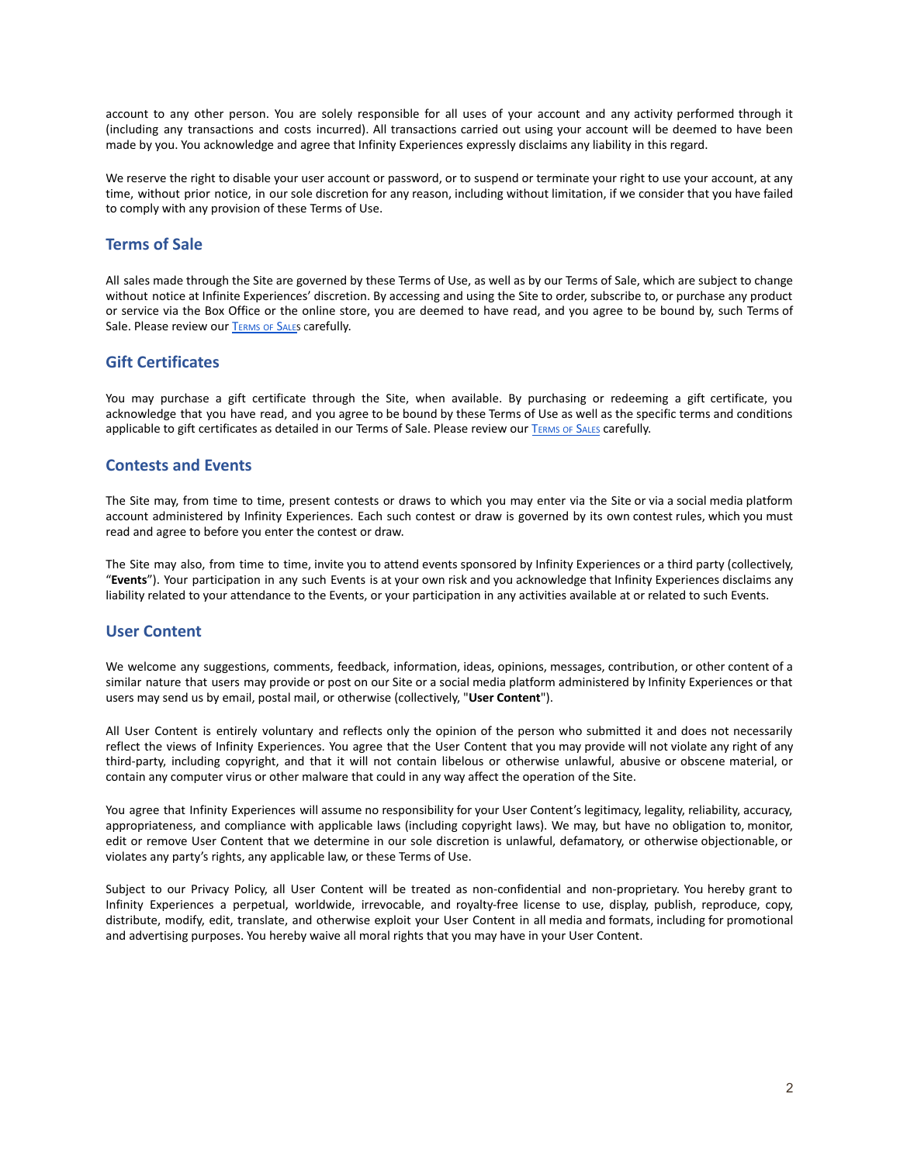account to any other person. You are solely responsible for all uses of your account and any activity performed through it (including any transactions and costs incurred). All transactions carried out using your account will be deemed to have been made by you. You acknowledge and agree that Infinity Experiences expressly disclaims any liability in this regard.

We reserve the right to disable your user account or password, or to suspend or terminate your right to use your account, at any time, without prior notice, in our sole discretion for any reason, including without limitation, if we consider that you have failed to comply with any provision of these Terms of Use.

#### **Terms of Sale**

All sales made through the Site are governed by these Terms of Use, as well as by our Terms of Sale, which are subject to change without notice at Infinite Experiences' discretion. By accessing and using the Site to order, subscribe to, or purchase any product or service via the Box Office or the online store, you are deemed to have read, and you agree to be bound by, such Terms of Sale. Please review our **T[ERMS](https://phi.ca/uploads/STUDIO/THE-INFINITE-Tour/Terms-of-Sale-Health-and-Safety.pdf) OF SALES** carefully.

### **Gift Certificates**

You may purchase a gift certificate through the Site, when available. By purchasing or redeeming a gift certificate, you acknowledge that you have read, and you agree to be bound by these Terms of Use as well as the specific terms and conditions applicable to gift certificates as detailed in our Terms of Sale. Please review our T[ERMS](https://phi.ca/uploads/STUDIO/THE-INFINITE-Tour/Terms-of-Sale-Health-and-Safety.pdf) OF SALES carefully.

#### **Contests and Events**

The Site may, from time to time, present contests or draws to which you may enter via the Site or via a social media platform account administered by Infinity Experiences. Each such contest or draw is governed by its own contest rules, which you must read and agree to before you enter the contest or draw.

The Site may also, from time to time, invite you to attend events sponsored by Infinity Experiences or a third party (collectively, "**Events**"). Your participation in any such Events is at your own risk and you acknowledge that Infinity Experiences disclaims any liability related to your attendance to the Events, or your participation in any activities available at or related to such Events.

### **User Content**

We welcome any suggestions, comments, feedback, information, ideas, opinions, messages, contribution, or other content of a similar nature that users may provide or post on our Site or a social media platform administered by Infinity Experiences or that users may send us by email, postal mail, or otherwise (collectively, "**User Content**").

All User Content is entirely voluntary and reflects only the opinion of the person who submitted it and does not necessarily reflect the views of Infinity Experiences. You agree that the User Content that you may provide will not violate any right of any third-party, including copyright, and that it will not contain libelous or otherwise unlawful, abusive or obscene material, or contain any computer virus or other malware that could in any way affect the operation of the Site.

You agree that Infinity Experiences will assume no responsibility for your User Content's legitimacy, legality, reliability, accuracy, appropriateness, and compliance with applicable laws (including copyright laws). We may, but have no obligation to, monitor, edit or remove User Content that we determine in our sole discretion is unlawful, defamatory, or otherwise objectionable, or violates any party's rights, any applicable law, or these Terms of Use.

Subject to our Privacy Policy, all User Content will be treated as non-confidential and non-proprietary. You hereby grant to Infinity Experiences a perpetual, worldwide, irrevocable, and royalty-free license to use, display, publish, reproduce, copy, distribute, modify, edit, translate, and otherwise exploit your User Content in all media and formats, including for promotional and advertising purposes. You hereby waive all moral rights that you may have in your User Content.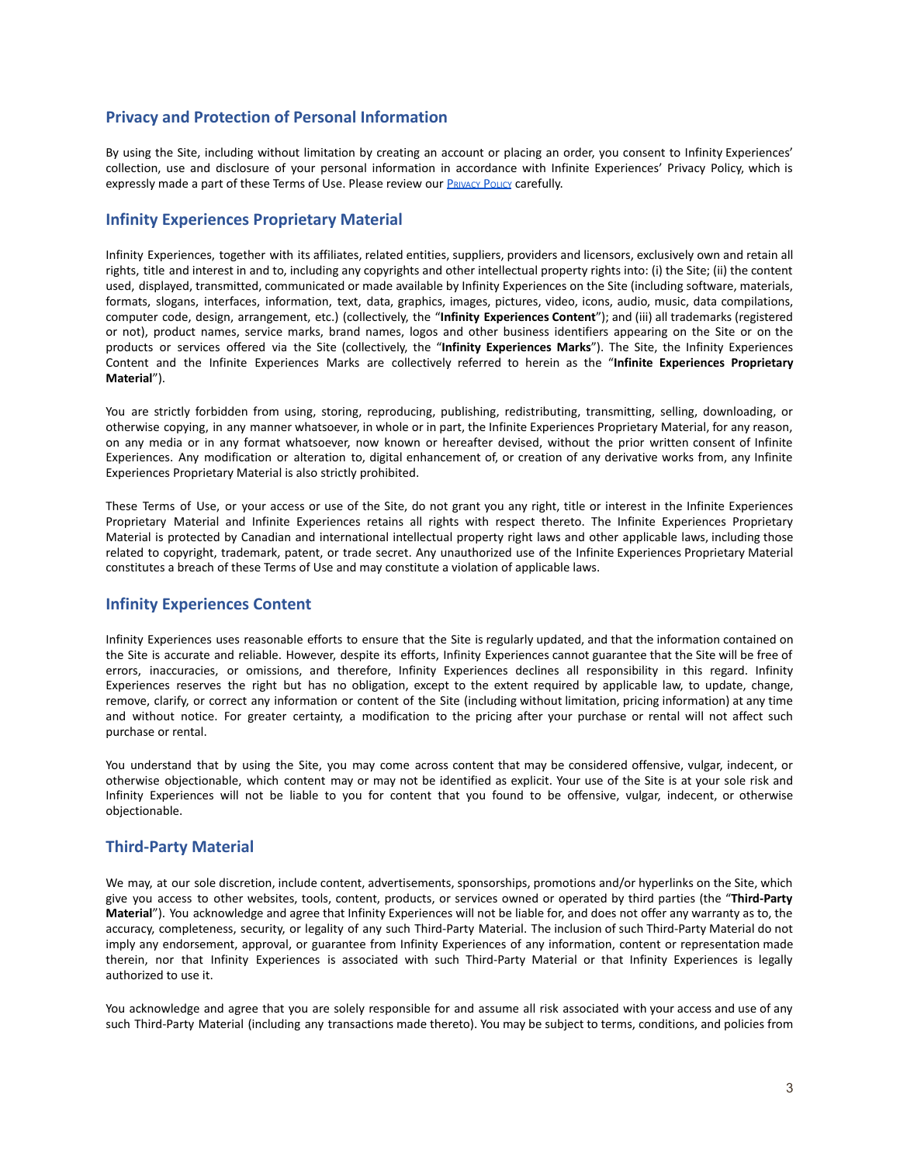# **Privacy and Protection of Personal Information**

By using the Site, including without limitation by creating an account or placing an order, you consent to Infinity Experiences' collection, use and disclosure of your personal information in accordance with Infinite Experiences' Privacy Policy, which is expressly made a part of these Terms of Use. Please review our **P[RIVACY](https://phi.ca/uploads/STUDIO/THE-INFINITE-Tour/Privacy-Policy-EN.pdf) POLICY** carefully.

### **Infinity Experiences Proprietary Material**

Infinity Experiences, together with its affiliates, related entities, suppliers, providers and licensors, exclusively own and retain all rights, title and interest in and to, including any copyrights and other intellectual property rights into: (i) the Site; (ii) the content used, displayed, transmitted, communicated or made available by Infinity Experiences on the Site (including software, materials, formats, slogans, interfaces, information, text, data, graphics, images, pictures, video, icons, audio, music, data compilations, computer code, design, arrangement, etc.) (collectively, the "**Infinity Experiences Content**"); and (iii) all trademarks (registered or not), product names, service marks, brand names, logos and other business identifiers appearing on the Site or on the products or services offered via the Site (collectively, the "**Infinity Experiences Marks**"). The Site, the Infinity Experiences Content and the Infinite Experiences Marks are collectively referred to herein as the "**Infinite Experiences Proprietary Material**").

You are strictly forbidden from using, storing, reproducing, publishing, redistributing, transmitting, selling, downloading, or otherwise copying, in any manner whatsoever, in whole or in part, the Infinite Experiences Proprietary Material, for any reason, on any media or in any format whatsoever, now known or hereafter devised, without the prior written consent of Infinite Experiences. Any modification or alteration to, digital enhancement of, or creation of any derivative works from, any Infinite Experiences Proprietary Material is also strictly prohibited.

These Terms of Use, or your access or use of the Site, do not grant you any right, title or interest in the Infinite Experiences Proprietary Material and Infinite Experiences retains all rights with respect thereto. The Infinite Experiences Proprietary Material is protected by Canadian and international intellectual property right laws and other applicable laws, including those related to copyright, trademark, patent, or trade secret. Any unauthorized use of the Infinite Experiences Proprietary Material constitutes a breach of these Terms of Use and may constitute a violation of applicable laws.

### **Infinity Experiences Content**

Infinity Experiences uses reasonable efforts to ensure that the Site is regularly updated, and that the information contained on the Site is accurate and reliable. However, despite its efforts, Infinity Experiences cannot guarantee that the Site will be free of errors, inaccuracies, or omissions, and therefore, Infinity Experiences declines all responsibility in this regard. Infinity Experiences reserves the right but has no obligation, except to the extent required by applicable law, to update, change, remove, clarify, or correct any information or content of the Site (including without limitation, pricing information) at any time and without notice. For greater certainty, a modification to the pricing after your purchase or rental will not affect such purchase or rental.

You understand that by using the Site, you may come across content that may be considered offensive, vulgar, indecent, or otherwise objectionable, which content may or may not be identified as explicit. Your use of the Site is at your sole risk and Infinity Experiences will not be liable to you for content that you found to be offensive, vulgar, indecent, or otherwise objectionable.

# **Third-Party Material**

We may, at our sole discretion, include content, advertisements, sponsorships, promotions and/or hyperlinks on the Site, which give you access to other websites, tools, content, products, or services owned or operated by third parties (the "**Third-Party Material**"). You acknowledge and agree that Infinity Experiences will not be liable for, and does not offer any warranty as to, the accuracy, completeness, security, or legality of any such Third-Party Material. The inclusion of such Third-Party Material do not imply any endorsement, approval, or guarantee from Infinity Experiences of any information, content or representation made therein, nor that Infinity Experiences is associated with such Third-Party Material or that Infinity Experiences is legally authorized to use it.

You acknowledge and agree that you are solely responsible for and assume all risk associated with your access and use of any such Third-Party Material (including any transactions made thereto). You may be subject to terms, conditions, and policies from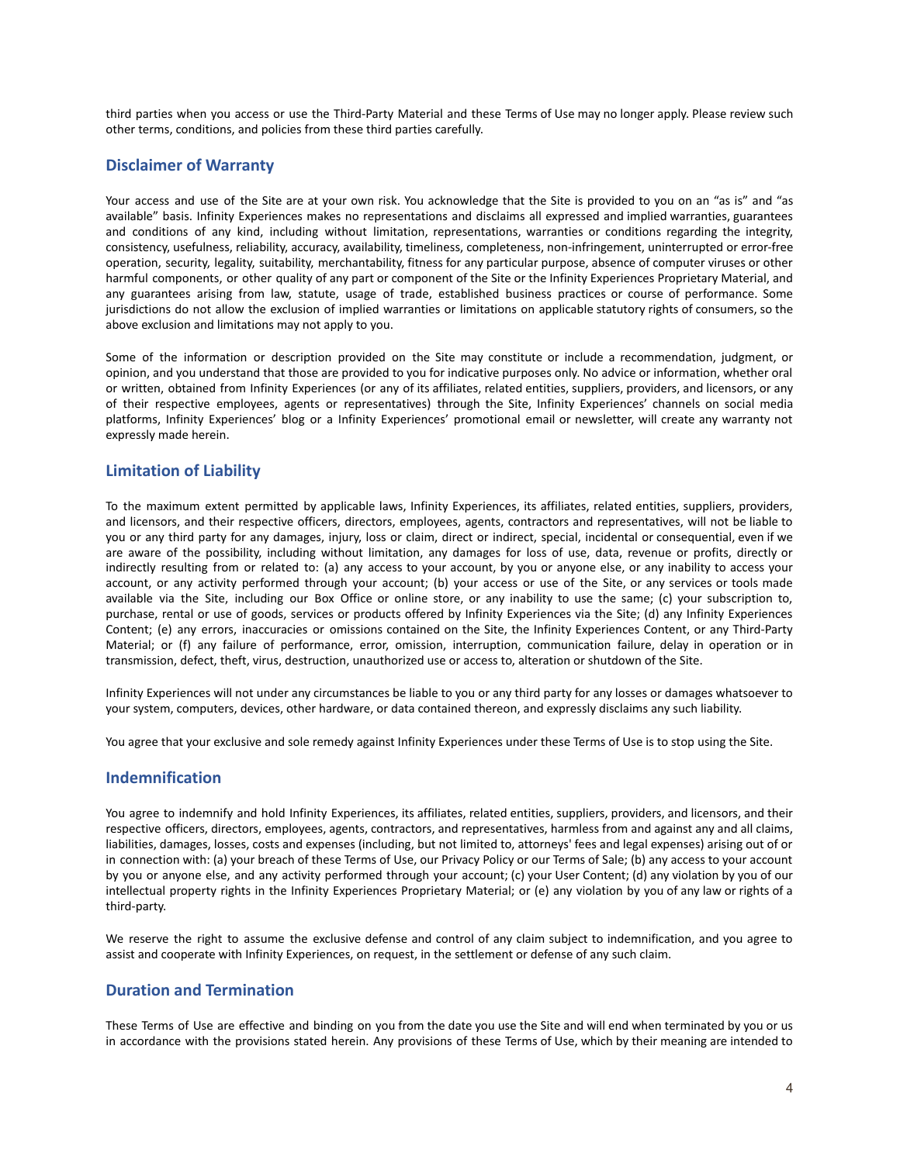third parties when you access or use the Third-Party Material and these Terms of Use may no longer apply. Please review such other terms, conditions, and policies from these third parties carefully.

### **Disclaimer of Warranty**

Your access and use of the Site are at your own risk. You acknowledge that the Site is provided to you on an "as is" and "as available" basis. Infinity Experiences makes no representations and disclaims all expressed and implied warranties, guarantees and conditions of any kind, including without limitation, representations, warranties or conditions regarding the integrity, consistency, usefulness, reliability, accuracy, availability, timeliness, completeness, non-infringement, uninterrupted or error-free operation, security, legality, suitability, merchantability, fitness for any particular purpose, absence of computer viruses or other harmful components, or other quality of any part or component of the Site or the Infinity Experiences Proprietary Material, and any guarantees arising from law, statute, usage of trade, established business practices or course of performance. Some jurisdictions do not allow the exclusion of implied warranties or limitations on applicable statutory rights of consumers, so the above exclusion and limitations may not apply to you.

Some of the information or description provided on the Site may constitute or include a recommendation, judgment, or opinion, and you understand that those are provided to you for indicative purposes only. No advice or information, whether oral or written, obtained from Infinity Experiences (or any of its affiliates, related entities, suppliers, providers, and licensors, or any of their respective employees, agents or representatives) through the Site, Infinity Experiences' channels on social media platforms, Infinity Experiences' blog or a Infinity Experiences' promotional email or newsletter, will create any warranty not expressly made herein.

### **Limitation of Liability**

To the maximum extent permitted by applicable laws, Infinity Experiences, its affiliates, related entities, suppliers, providers, and licensors, and their respective officers, directors, employees, agents, contractors and representatives, will not be liable to you or any third party for any damages, injury, loss or claim, direct or indirect, special, incidental or consequential, even if we are aware of the possibility, including without limitation, any damages for loss of use, data, revenue or profits, directly or indirectly resulting from or related to: (a) any access to your account, by you or anyone else, or any inability to access your account, or any activity performed through your account; (b) your access or use of the Site, or any services or tools made available via the Site, including our Box Office or online store, or any inability to use the same; (c) your subscription to, purchase, rental or use of goods, services or products offered by Infinity Experiences via the Site; (d) any Infinity Experiences Content; (e) any errors, inaccuracies or omissions contained on the Site, the Infinity Experiences Content, or any Third-Party Material; or (f) any failure of performance, error, omission, interruption, communication failure, delay in operation or in transmission, defect, theft, virus, destruction, unauthorized use or access to, alteration or shutdown of the Site.

Infinity Experiences will not under any circumstances be liable to you or any third party for any losses or damages whatsoever to your system, computers, devices, other hardware, or data contained thereon, and expressly disclaims any such liability.

You agree that your exclusive and sole remedy against Infinity Experiences under these Terms of Use is to stop using the Site.

### **Indemnification**

You agree to indemnify and hold Infinity Experiences, its affiliates, related entities, suppliers, providers, and licensors, and their respective officers, directors, employees, agents, contractors, and representatives, harmless from and against any and all claims, liabilities, damages, losses, costs and expenses (including, but not limited to, attorneys' fees and legal expenses) arising out of or in connection with: (a) your breach of these Terms of Use, our Privacy Policy or our Terms of Sale; (b) any access to your account by you or anyone else, and any activity performed through your account; (c) your User Content; (d) any violation by you of our intellectual property rights in the Infinity Experiences Proprietary Material; or (e) any violation by you of any law or rights of a third-party.

We reserve the right to assume the exclusive defense and control of any claim subject to indemnification, and you agree to assist and cooperate with Infinity Experiences, on request, in the settlement or defense of any such claim.

### **Duration and Termination**

These Terms of Use are effective and binding on you from the date you use the Site and will end when terminated by you or us in accordance with the provisions stated herein. Any provisions of these Terms of Use, which by their meaning are intended to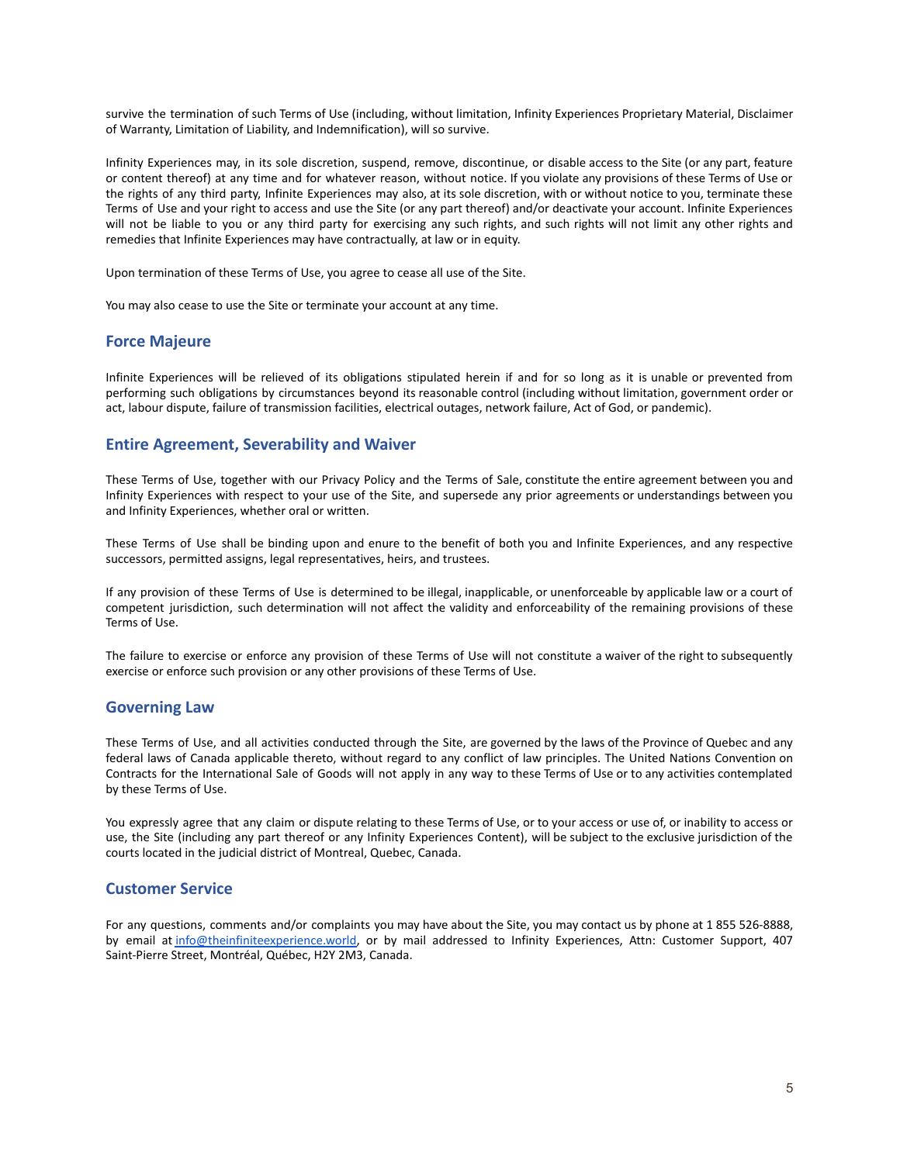survive the termination of such Terms of Use (including, without limitation, Infinity Experiences Proprietary Material, Disclaimer of Warranty, Limitation of Liability, and Indemnification), will so survive.

Infinity Experiences may, in its sole discretion, suspend, remove, discontinue, or disable access to the Site (or any part, feature or content thereof) at any time and for whatever reason, without notice. If you violate any provisions of these Terms of Use or the rights of any third party, Infinite Experiences may also, at its sole discretion, with or without notice to you, terminate these Terms of Use and your right to access and use the Site (or any part thereof) and/or deactivate your account. Infinite Experiences will not be liable to you or any third party for exercising any such rights, and such rights will not limit any other rights and remedies that Infinite Experiences may have contractually, at law or in equity.

Upon termination of these Terms of Use, you agree to cease all use of the Site.

You may also cease to use the Site or terminate your account at any time.

#### **Force Majeure**

Infinite Experiences will be relieved of its obligations stipulated herein if and for so long as it is unable or prevented from performing such obligations by circumstances beyond its reasonable control (including without limitation, government order or act, labour dispute, failure of transmission facilities, electrical outages, network failure, Act of God, or pandemic).

### **Entire Agreement, Severability and Waiver**

These Terms of Use, together with our Privacy Policy and the Terms of Sale, constitute the entire agreement between you and Infinity Experiences with respect to your use of the Site, and supersede any prior agreements or understandings between you and Infinity Experiences, whether oral or written.

These Terms of Use shall be binding upon and enure to the benefit of both you and Infinite Experiences, and any respective successors, permitted assigns, legal representatives, heirs, and trustees.

If any provision of these Terms of Use is determined to be illegal, inapplicable, or unenforceable by applicable law or a court of competent jurisdiction, such determination will not affect the validity and enforceability of the remaining provisions of these Terms of Use.

The failure to exercise or enforce any provision of these Terms of Use will not constitute a waiver of the right to subsequently exercise or enforce such provision or any other provisions of these Terms of Use.

#### **Governing Law**

These Terms of Use, and all activities conducted through the Site, are governed by the laws of the Province of Quebec and any federal laws of Canada applicable thereto, without regard to any conflict of law principles. The United Nations Convention on Contracts for the International Sale of Goods will not apply in any way to these Terms of Use or to any activities contemplated by these Terms of Use.

You expressly agree that any claim or dispute relating to these Terms of Use, or to your access or use of, or inability to access or use, the Site (including any part thereof or any Infinity Experiences Content), will be subject to the exclusive jurisdiction of the courts located in the judicial district of Montreal, Quebec, Canada.

### **Customer Service**

For any questions, comments and/or complaints you may have about the Site, you may contact us by phone at 1 855 526-8888, by email at [info@theinfiniteexperience.world,](http://info@theinfiniteexperience.world) or by mail addressed to Infinity Experiences, Attn: Customer Support, 407 Saint-Pierre Street, Montréal, Québec, H2Y 2M3, Canada.